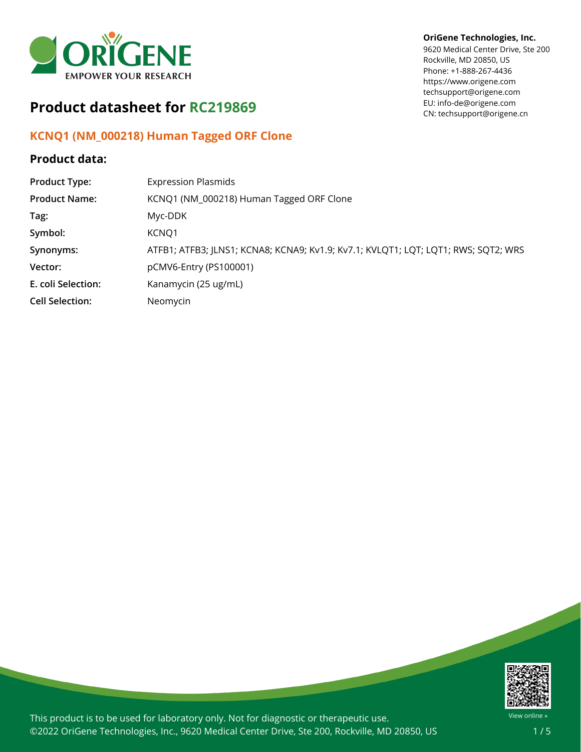

# **Product datasheet for RC219869**

## **KCNQ1 (NM\_000218) Human Tagged ORF Clone**

### **Product data:**

### **OriGene Technologies, Inc.**

9620 Medical Center Drive, Ste 200 Rockville, MD 20850, US Phone: +1-888-267-4436 https://www.origene.com techsupport@origene.com EU: info-de@origene.com CN: techsupport@origene.cn

| <b>Product Type:</b>   | <b>Expression Plasmids</b>                                                         |
|------------------------|------------------------------------------------------------------------------------|
| <b>Product Name:</b>   | KCNQ1 (NM_000218) Human Tagged ORF Clone                                           |
| Tag:                   | Myc-DDK                                                                            |
| Symbol:                | KCNQ1                                                                              |
| Synonyms:              | ATFB1; ATFB3; JLNS1; KCNA8; KCNA9; Kv1.9; Kv7.1; KVLQT1; LQT; LQT1; RWS; SQT2; WRS |
| Vector:                | pCMV6-Entry (PS100001)                                                             |
| E. coli Selection:     | Kanamycin (25 ug/mL)                                                               |
| <b>Cell Selection:</b> | Neomycin                                                                           |



This product is to be used for laboratory only. Not for diagnostic or therapeutic use. ©2022 OriGene Technologies, Inc., 9620 Medical Center Drive, Ste 200, Rockville, MD 20850, US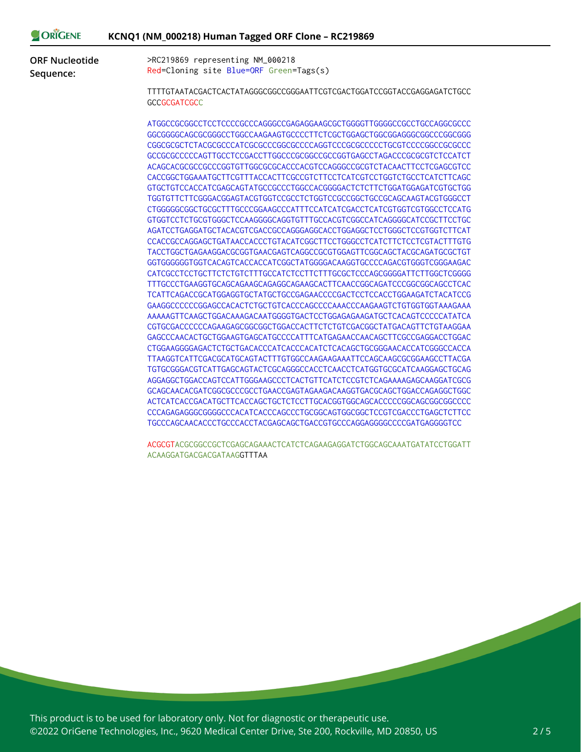| ORIGENE               | KCNQ1 (NM_000218) Human Tagged ORF Clone - RC219869                                           |
|-----------------------|-----------------------------------------------------------------------------------------------|
| <b>ORF Nucleotide</b> | >RC219869 representing NM_000218                                                              |
| Sequence:             | Red=Cloning site Blue=ORF Green=Tags(s)                                                       |
|                       | TTTTGTAATACGACTCACTATAGGGCGGCCGGGAATTCGTCGACTGGATCCGGTACCGAGGAGATCTGCC<br><b>GCCGCGATCGCC</b> |
|                       | ATGGCCGCGCCTCCTCCCCCGCCCAGGGCCGAGAGGAAGCGCTGGGGTTGGGCCCGCCTGCCAGGCGCCC                        |
|                       |                                                                                               |
|                       | CGGCGCGCTCTACGCGCCCATCGCGCCCGGCGCCCCAGGTCCCGCGCCCCCTGCGTCCCCGGCCGCCCC                         |
|                       | GCCGCCCCCCAGTTGCCTCCGACCTTGGCCCGCGGCCGCCGGTGAGCCTAGACCCGCGCGTCTCCATCT                         |
|                       | ACAGCACGCCCGCCCGGTGTTGGCGCGCACCCACGTCCAGGGCCGCGTCTACAACTTCCTCGAGCGTCC                         |
|                       | CACCGGCTGGAAATGCTTCGTTTACCACTTCGCCGTCTTCCTCATCGTCCTGGTCTGCCTCATCTTCAGC                        |
|                       |                                                                                               |
|                       | TGGTGTTCTTCGGGACGGAGTACGTGGTCCGCCTCTGGTCCGCCGGCTGCCGCAGCAAGTACGTGGGCCT                        |
|                       | CTGGGGGCGGCTGCGCTTTGCCCGGAAGCCCATTTCCATCATCGACCTCATCGTGGTCGTGGCCTCCATG                        |
|                       | GTGGTCCTCTGCGTGGGCTCCAAGGGGCAGGTGTTTGCCACGTCGGCCATCAGGGGCATCCGCTTCCTGC                        |
|                       | AGATCCTGAGGATGCTACACGTCGACCGCCAGGGAGGCACCTGGAGGCTCCTGGGCTCCGTGGTCTTCAT                        |
|                       | CCACCGCCAGGAGCTGATAACCACCCTGTACATCGGCTTCCTGGGCCTCATCTTCTCCTCGTACTTTGTG                        |
|                       | TACCTGGCTGAGAAGGACGCGGTGAACGAGTCAGGCCCGCGTGGAGTTCGGCAGCTACGCAGATGCGCTGT                       |
|                       | GGTGGGGGGTGGTCACAGTCACCACCATCGGCTATGGGGACAAGGTGCCCCAGACGTGGGTCGGGAAGAC                        |
|                       | CATCGCCTCCTGCTTCTCTGTCTTTGCCATCTCCTTCTTTGCGCTCCCAGCGGGGATTCTTGGCTCGGGG                        |
|                       | TTTGCCCTGAAGGTGCAGCAGAAGCAGAGGCAGAAGCACTTCAACCGGCAGATCCCGGCGGCAGCCTCAC                        |
|                       | TCATTCAGACCGCATGGAGGTGCTATGCTGCCGAGAACCCCGACTCCTCCACCTGGAAGATCTACATCCG                        |
|                       | GAAGGCCCCCCGGAGCCACACTCTGCTGTCACCCAGCCCCAAACCCAAGAAGTCTGTGGTGGTAAAGAAA                        |
|                       | AAAAAGTTCAAGCTGGACAAAGACAATGGGGTGACTCCTGGAGAAGATGCTCACAGTCCCCCATATCA                          |
|                       | CGTGCGACCCCCCAGAAGAGCGGCGGCTGGACCACTTCTCTGTCGACGGCTATGACAGTTCTGTAAGGAA                        |
|                       | GAGCCCAACACTGCTGGAAGTGAGCATGCCCCATTTCATGAGAACCAACAGCTTCGCCGAGGACCTGGAC                        |
|                       | CTGGAAGGGGAGACTCTGCTGACACCCATCACCCAATCTCACAGCTGCGGGAACACCATCGGGCCACCA                         |
|                       | TTAAGGTCATTCGACGCATGCAGTACTTTGTGGCCAAGAAGAAATTCCAGCAAGCGCGGAAGCCTTACGA                        |
|                       | TGTGCGGGACGTCATTGAGCAGTACTCGCAGGGCCACCTCAACCTCATGGTGCGCATCAAGGAGCTGCAG                        |
|                       | AGGAGGCTGGACCAGTCCATTGGGAAGCCCTCACTGTTCATCTCCGTCTCAGAAAAGAGCAAGGATCGCG                        |
|                       | GCAGCAACACGATCGGCGCCCCGCCTGAACCGAGTAGAAGACAAGGTGACGCAGCTGGACCAGAGGCTGGC                       |
|                       | ACTCATCACCGACATGCTTCACCAGCTGCTCTCCTTGCACGGTGGCAGCACCCCCGGCAGCGGGGCCCCC                        |
|                       | CCCAGAGAGGGCCGGGGCCCACATCACCCAGCCCTGCGGCAGTGGCGGCTCCGTCGACCCTGAGCTCTTCC                       |
|                       | TGCCCAGCAACACCCTGCCCACCTACGAGCAGCTGACCGTGCCCAGGAGGGGCCCCGATGAGGGGTCC                          |
|                       |                                                                                               |

ACGCGTACGCGGCCGCTCGAGCAGAAACTCATCTCAGAAGAGGATCTGGCAGCAAATGATATCCTGGATT ACAAGGATGACGACGATAAGGTTTAA

This product is to be used for laboratory only. Not for diagnostic or therapeutic use. ©2022 OriGene Technologies, Inc., 9620 Medical Center Drive, Ste 200, Rockville, MD 20850, US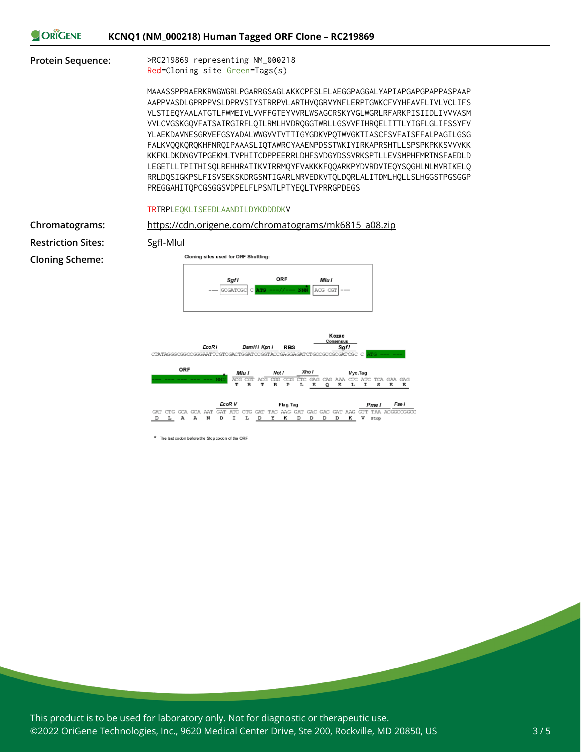|  | KCNQ1 (NM_000218) Human Tagged ORF Clone - RC219869 |
|--|-----------------------------------------------------|

**Protein Sequence:** >RC219869 representing NM\_000218 Red=Cloning site Green=Tags(s)

> MAAASSPPRAERKRWGWGRLPGARRGSAGLAKKCPFSLELAEGGPAGGALYAPIAPGAPGPAPPASPAAP AAPPVASDLGPRPPVSLDPRVSIYSTRRPVLARTHVQGRVYNFLERPTGWKCFVYHFAVFLIVLVCLIFS VLSTIEQYAALATGTLFWMEIVLVVFFGTEYVVRLWSAGCRSKYVGLWGRLRFARKPISIIDLIVVVASM VVLCVGSKGQVFATSAIRGIRFLQILRMLHVDRQGGTWRLLGSVVFIHRQELITTLYIGFLGLIFSSYFV YLAEKDAVNESGRVEFGSYADALWWGVVTVTTIGYGDKVPQTWVGKTIASCFSVFAISFFALPAGILGSG FALKVQQKQRQKHFNRQIPAAASLIQTAWRCYAAENPDSSTWKIYIRKAPRSHTLLSPSPKPKKSVVVKK KKFKLDKDNGVTPGEKMLTVPHITCDPPEERRLDHFSVDGYDSSVRKSPTLLEVSMPHFMRTNSFAEDLD LEGETLLTPITHISQLREHHRATIKVIRRMQYFVAKKKFQQARKPYDVRDVIEQYSQGHLNLMVRIKELQ RRLDQSIGKPSLFISVSEKSKDRGSNTIGARLNRVEDKVTQLDQRLALITDMLHQLLSLHGGSTPGSGGP PREGGAHITQPCGSGGSVDPELFLPSNTLPTYEQLTVPRRGPDEGS

### TRTRPLEQKLISEEDLAANDILDYKDDDDKV

**Restriction Sites:** SgfI-MluI **Cloning Scheme:**



\* The last codon before the Stop codon of the ORF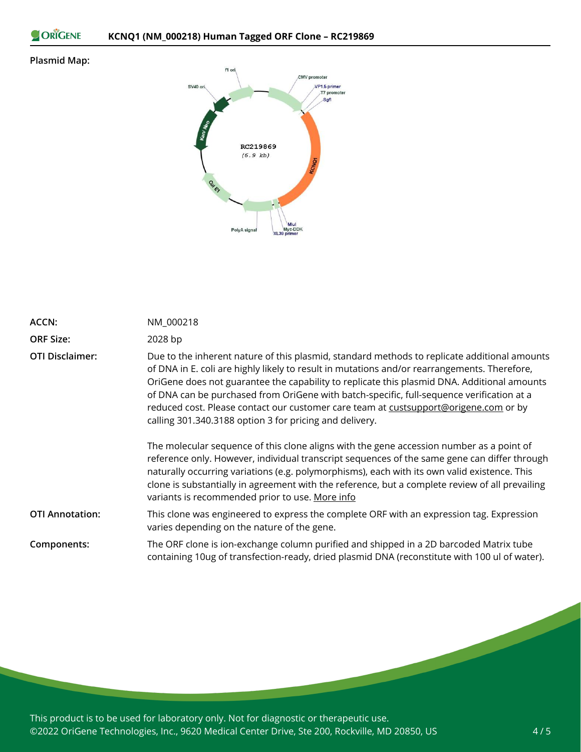```
ORIGENE
```
### **Plasmid Map:**



| ACCN:                  | NM 000218                                                                                                                                                                                                                                                                                                                                                                                                                                                                                                                                   |
|------------------------|---------------------------------------------------------------------------------------------------------------------------------------------------------------------------------------------------------------------------------------------------------------------------------------------------------------------------------------------------------------------------------------------------------------------------------------------------------------------------------------------------------------------------------------------|
| <b>ORF Size:</b>       | 2028 bp                                                                                                                                                                                                                                                                                                                                                                                                                                                                                                                                     |
| <b>OTI Disclaimer:</b> | Due to the inherent nature of this plasmid, standard methods to replicate additional amounts<br>of DNA in E. coli are highly likely to result in mutations and/or rearrangements. Therefore,<br>OriGene does not guarantee the capability to replicate this plasmid DNA. Additional amounts<br>of DNA can be purchased from OriGene with batch-specific, full-sequence verification at a<br>reduced cost. Please contact our customer care team at custsupport@origene.com or by<br>calling 301.340.3188 option 3 for pricing and delivery. |
|                        | The molecular sequence of this clone aligns with the gene accession number as a point of<br>reference only. However, individual transcript sequences of the same gene can differ through<br>naturally occurring variations (e.g. polymorphisms), each with its own valid existence. This<br>clone is substantially in agreement with the reference, but a complete review of all prevailing<br>variants is recommended prior to use. More info                                                                                              |
| <b>OTI Annotation:</b> | This clone was engineered to express the complete ORF with an expression tag. Expression<br>varies depending on the nature of the gene.                                                                                                                                                                                                                                                                                                                                                                                                     |
| Components:            | The ORF clone is ion-exchange column purified and shipped in a 2D barcoded Matrix tube<br>containing 10ug of transfection-ready, dried plasmid DNA (reconstitute with 100 ul of water).                                                                                                                                                                                                                                                                                                                                                     |

This product is to be used for laboratory only. Not for diagnostic or therapeutic use. ©2022 OriGene Technologies, Inc., 9620 Medical Center Drive, Ste 200, Rockville, MD 20850, US